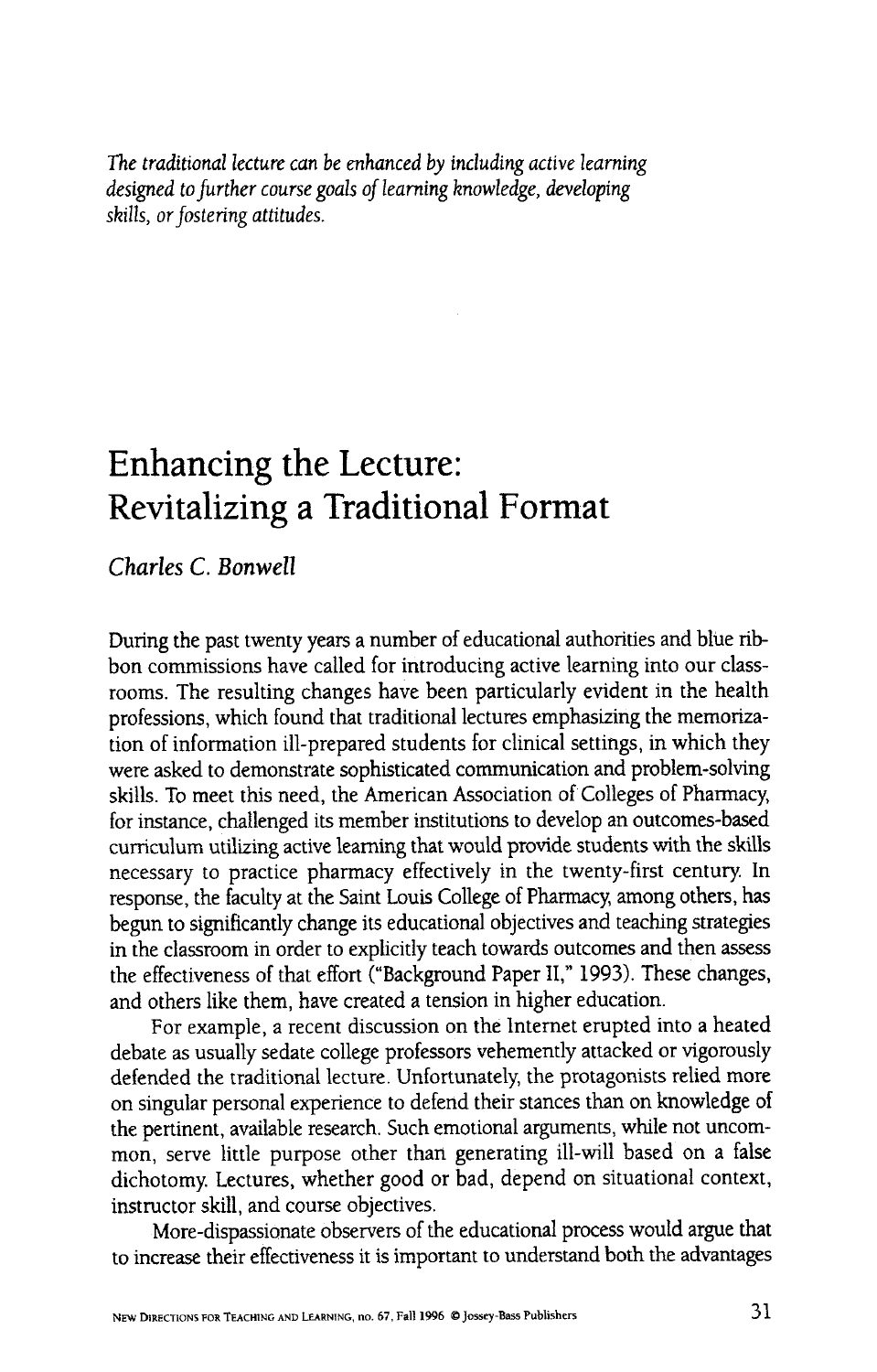The traditional lecture can *be* enhanced by including active learning designed to further course goals of learning knowledge, developing skills, or fostering attitudes.

# Enhancing the Lecture: Revitalizing a Traditional Format

**Charles** *C. Bonwell* 

During the past twenty years a number of educational authorities and blue **rib**  bon commissions have called for introducing active learning into our classrooms. The resulting changes have been particularly evident in the health professions, which found that traditional lectures emphasizing the memorization of information ill-prepared students for clinical settings, in which they were asked to demonstrate sophisticated communication and problem-solving skills. To meet this need, the American Association of Colleges of Pharmacy, for instance, challenged its member institutions to develop an outcomes-based curriculum utilizing active learning that would provide students with the skills necessary to practice pharmacy effectively in the twenty-first century. In response, the faculty at the Saint Louis College of Pharmacy, among others, has begun to significantly change its educational objectives and teaching strategies in the classroom in order to explicitly teach towards outcomes and then assess the effectiveness of that effort ("Background Paper 11," 1993). These changes, and others like them, have created a tension in higher education.

For example, a recent discussion on the lnternet erupted into a heated debate as usually sedate college professors vehemently attacked or vigorously defended the traditional lecture. Unfortunately, the protagonists relied more on singular personal experience to defend their stances than on knowledge of the pertinent, available research. Such emotional arguments, while not uncommon, serve little purpose other than generating ill-will based on a false dichotomy. Lectures, whether good or bad, depend on situational context, instructor skill, and course objectives.

More-dispassionate observers of the educational process would argue that to increase their effectiveness it is important to understand both the advantages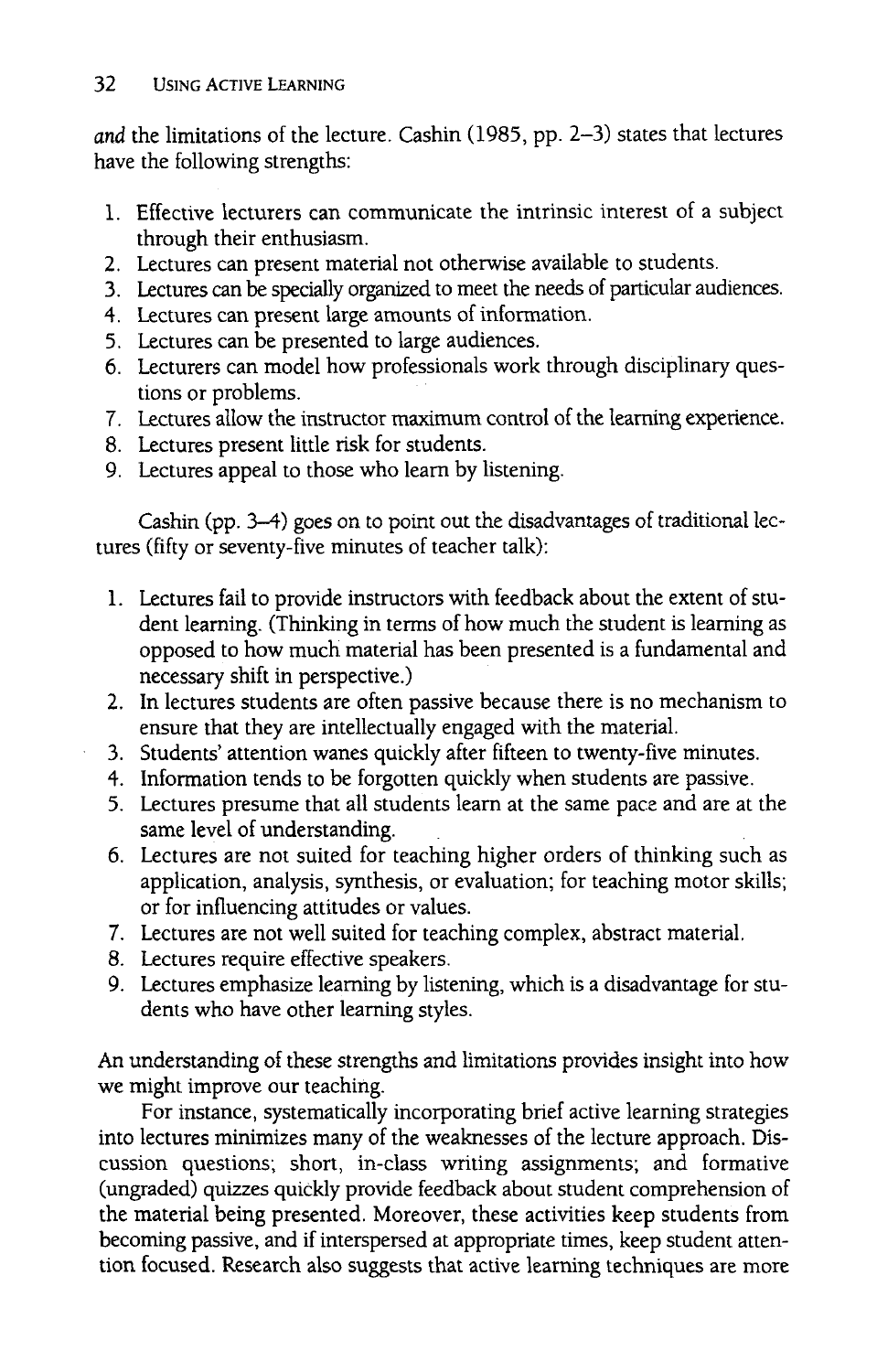and the limitations of the lecture. Cashin (1985, pp. **2-3)** states that lectures have the following strengths:

- 1. Effective lecturers can communicate the intrinsic interest of a subject through their enthusiasm.
- **2.**  Lectures can present material not otherwise available to students.
- **3.**  Lectures can be specially organized to meet the needs of particular audiences.
- **4.**  Lectures can present large amounts of information.
- *5.*  Lectures can be presented to large audiences.
- 6. Lecturers can model how professionals work through disciplinary questions or problems.
- 7. Lectures allow the instructor maximum control of the learning experience.
- 8. Lectures present little risk for students.
- 9. Lectures appeal to those who learn by listening.

Cashin (pp. 3-4) goes on to point out the disadvantages of traditional lectures (fifty or seventy-five minutes of teacher talk):

- 1. Lectures fail to provide instructors with feedback about the extent of student learning. (Thinking in terms of how much the student is learning as opposed to how much material has been presented is a fundamental and necessary shift in perspective.)
- **2.** In lectures students are often passive because there is no mechanism to ensure that they are intellectually engaged with the material.
- 3. Students' attention wanes quickly after fifteen to twenty-five minutes.
- 4. Information tends to be forgotten quickly when students are passive.
- *5.* Lectures presume that all students learn at the same pace and are at the same level of understanding.
- 6. Lectures are not suited for teaching higher orders of thinking such as application, analysis, synthesis, or evaluation; for teaching motor skills; or for influencing attitudes or values.
- **7.** Lectures are not well suited for teaching complex, abstract material.
- 8. Lectures require effective speakers.
- 9. Lectures emphasize learning by listening, which is a disadvantage for students who have other learning styles.

*An* understanding of these strengths and limitations provides insight into how we might improve our teaching.

For instance, systematically incorporating brief active learning strategies into lectures minimizes many of the weaknesses of the lecture approach. Discussion questions; short, in-class writing assignments; and formative (ungraded) quizzes quickly provide feedback about student comprehension of the material being presented. Moreover, these activities keep students from becoming passive, and if interspersed at appropriate times, keep student attention focused. Research also suggests that active learning techniques are more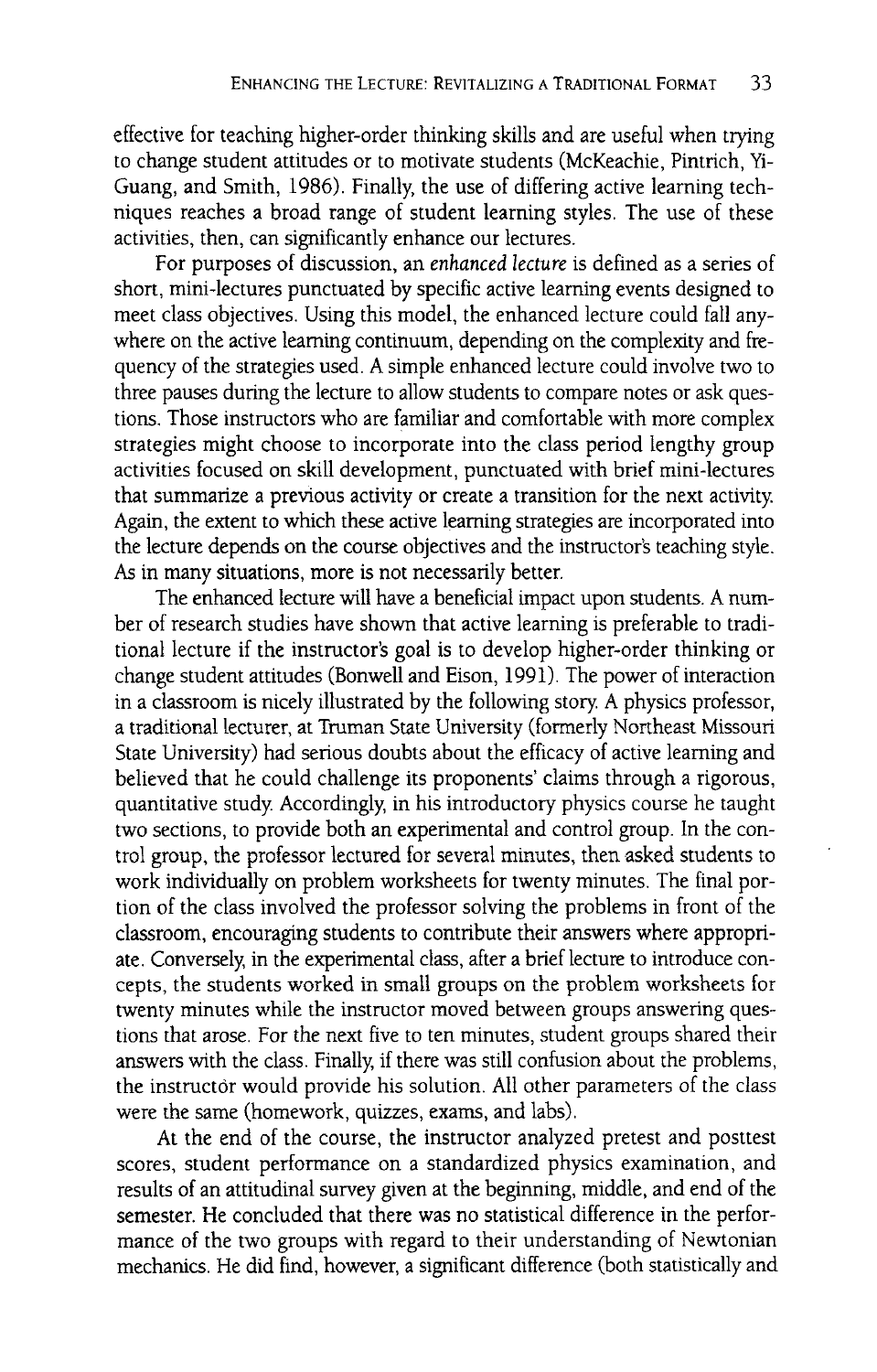effective for teaching higher-order thinking skills and are useful when trying to change student attitudes or to motivate students (McKeachie, Pintrich, Yi-Guang, and Smith, 1986). Finally, the use of differing active learning techniques reaches a broad range of student learning styles. The use of these activities, then, can significantly enhance our lectures.

For purposes of discussion, an enhanced lecture is defined as a series of short, mini-lectures punctuated by specific active learning events designed to meet class objectives. Using this model, the enhanced lecture could fall anywhere on the active learning continuum, depending on the complexity and frequency of the strategies used. A simple enhanced lecture could involve two to three pauses during the lecture to allow students to compare notes or ask questions, Those instructors who are familiar and comfortable with more complex strategies might choose to incorporate into the class period lengthy group activities focused on skill development, punctuated with brief mini-lectures that summarize a previous activity or create a transition for the next activity Again, the extent to which these active learning strategies are incorporated into the lecture depends on the course objectives and the instructor's teaching style. As in many situations, more is not necessarily better.

The enhanced lecture will have a beneficial impact upon students. A number of research studies have shown that active learning is preferable to traditional lecture if the instructor's goal is to develop higher-order thinking or change student attitudes (Bonwell and Eison, 1991). The power of interaction in a classroom is nicely illustrated by the following story. A physics professor, a traditional lecturer, at Truman State University (formerly Northeast Missouri State University) had serious doubts about the efficacy of active learning and believed that he could challenge its proponents' claims through a rigorous, quantitative study. Accordingly, in his introductory physics course he taught two sections, to provide both an experimental and control group. In the control group, the professor lectured for several minutes, then asked students to work individually on problem worksheets for twenty minutes. The final portion of the class involved the professor solving the problems in front of the classroom, encouraging students to contribute their answers where appropriate. Conversely, in the experimental class, after a brief lecture to introduce concepts, the students worked in small groups on the problem worksheets for twenty minutes while the instructor moved between groups answering questions that arose. For the next five to ten minutes, student groups shared their answers with the class. Finally, if there was still confusion about the problems, the instructor would provide his solution. All other parameters of the class were the same (homework, quizzes, exams, and labs).

At the end of the course, the instructor analyzed pretest and posttest scores, student performance on a standardized physics examination, and results of an attitudinal survey given at the beginning, middle, and end of the semester. He concluded that there was no statistical difference in the performance of the two groups with regard to their understanding of Newtonian mechanics. He did find, however, a significant difference (both statistically and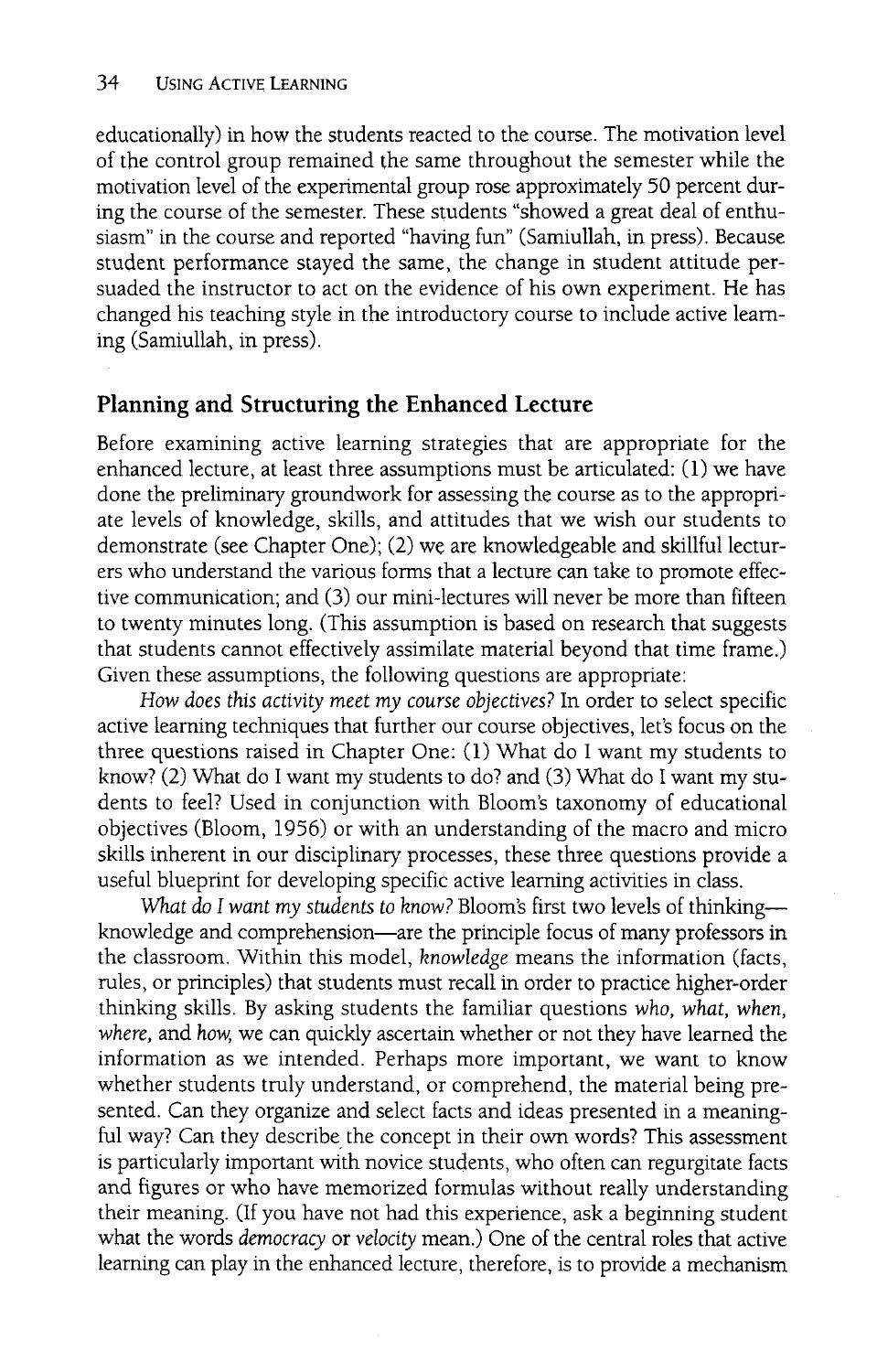educationally) in how the students reacted to the course. The motivation level of the control group remained the same throughout the semester while the motivation level of the experimental group rose approximately 50 percent during the course of the semester. These students "showed a great deal of enthusiasm" in the course and reported "having fun" (Samiullah, in press). Because student performance stayed the same, the change in student attitude persuaded the instructor to act on the evidence of his own experiment. He has changed his teaching style in the introductory course to include active learning (Samiullah, in press).

## **Planning and Structuring the Enhanced Lecture**

Before examining active learning strategies that are appropriate for the enhanced lecture, at least three assumptions must be articulated: (1) we have done the preliminary groundwork for assessing the course as to the appropriate levels of knowledge, skills, and attitudes that we wish our students to demonstrate (see Chapter One); (2) we are knowledgeable and skillful lecturers who understand the various forms that a lecture can take to promote effective communication; and *(3)* our mini-lectures will never be more than fifteen to twenty minutes long. (This assumption is based on research that suggests that students cannot effectively assimilate material beyond that time frame.) Given these assumptions, the following questions are appropriate:

*How* does this activity meet my course objectives? In order to select specific active learning techniques that further our course objectives, let's focus on the three questions raised in Chapter One: (1) What do I want my students to know? (2) What do I want my students to do? and (3) What do I want my students to feel? Used in conjunction with Bloom's taxonomy of educational objectives (Bloom, 1956) or with an understanding of the macro and micro skills inherent in our disciplinary processes, these three questions provide a useful blueprint for developing specific active learning activities in class.

What do I want my students to *know?* Bloom's first two levels of thinkingknowledge and comprehension-are the principle focus of many professors in the classroom. Within this model, knowledge means the information (facts, rules, or principles) that students must recall in order to practice higher-order thinking skills. By asking students the familiar questions who, what, when, where, and how, we can quickly ascertain whether or not they have learned the information as we intended. Perhaps more important, we want to know whether students truly understand, or comprehend, the material being presented. Can they organize and select facts and ideas presented in a meaningful way? Can they describe the concept in their own words? This assessment is particularly important with novice students, who often can regurgitate facts and figures or who have memorized formulas without really understanding their meaning. (If you have not had this experience, ask a beginning student what the words democracy or velocity mean.) One of the central roles that active learning can play in the enhanced lecture, therefore, is to provide a mechanism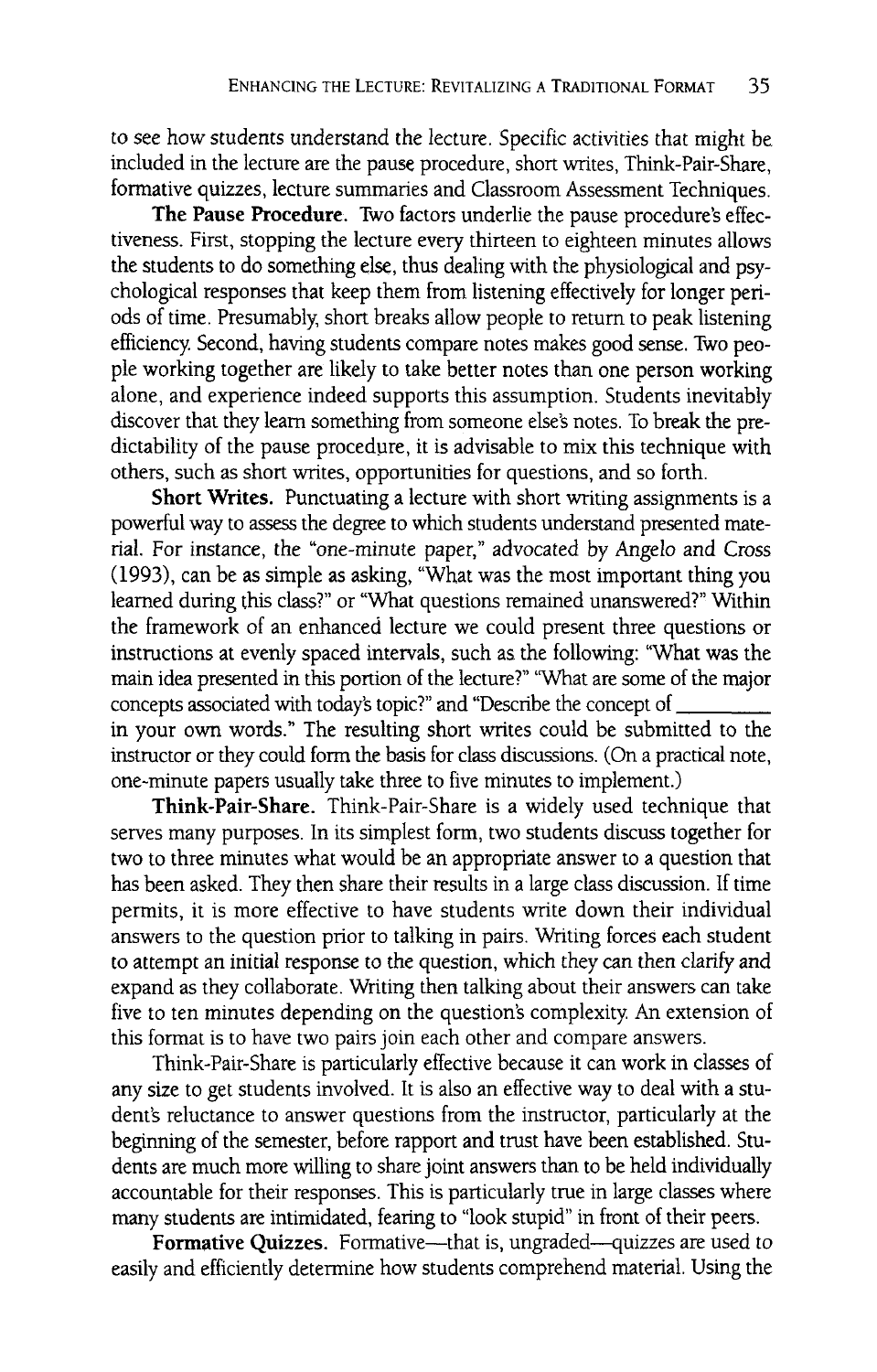to see how students understand the lecture. Specific activities that might be included in the lecture are the pause procedure, short writes, Think-Pair-Share, formative quizzes, lecture summaries and Classroom Assessment Techniques.

**The Pause Procedure.** Two factors underlie the pause procedure's effectiveness. First, stopping the lecture every thirteen to eighteen minutes allows the students to do something else, thus dealing with the physiological and psychological responses that keep them from listening effectively for longer periods of time. Presumably, short breaks allow people to return to peak listening efficiency Second, having students compare notes makes good **sense.** Two people working together are likely to take better notes than one person working alone, and experience indeed supports this assumption. Students inevitably discover that they learn something from someone else's notes. To break the predictability of the pause procedure, it is advisable to mix this technique with others, such as short writes, opportunities for questions, and so forth.

**Short Writes.** Punctuating a lecture with short writing assignments is a powerful way to assess the degree to which students understand presented material. For instance, the "one-minute paper," advocated by Angelo and Cross (1993), can be as simple as asking, "What was the most important thing you learned during this class?" or "What questions remained unanswered?" Within the framework of an enhanced lecture we could present three questions or instructions at evenly spaced intervals, such as the following: "What was the main idea presented in this portion of the lecture?" "What are some of the major concepts associated with today's topic?" and "Describe the concept of in your own words." The resulting short writes could be submitted to the instructor or they could form **the** basis for class discussions. (On a practical note, one-minute papers usually take three to five minutes to implement.)

**Think-Pair-Share.** Think-Pair-Share is a widely used technique that serves many purposes. In its simplest form, two students discuss together for two to three minutes what would be an appropriate answer to a question that has been asked. They then share their results in a large class discussion. If time permits, it is more effective to have students write down their individual answers to the question prior to talking in pairs. Writing forces each student to attempt an initial response to the question, which they can then clarify and expand as they collaborate. Writing then talking about their answers can take five to ten minutes depending on the question's complexity An extension of this format is to have two pairs join each other and compare answers.

Think-Pair-Share is particularly effective because it can work in classes of any size to get students involved. It is also an effective way to deal with a student's reluctance to answer questions from the instructor, particularly at the beginning of the semester, before rapport and trust have been established. Students are much more willing to share joint answers than to be held individually accountable for their responses. This is particularly true in large classes where many students are intimidated, fearing to "look stupid" in front of their peers.

**Formative Quizzes.** Formative-that is, ungraded-quizzes are used to easily and efficiently determine how students comprehend material. Using the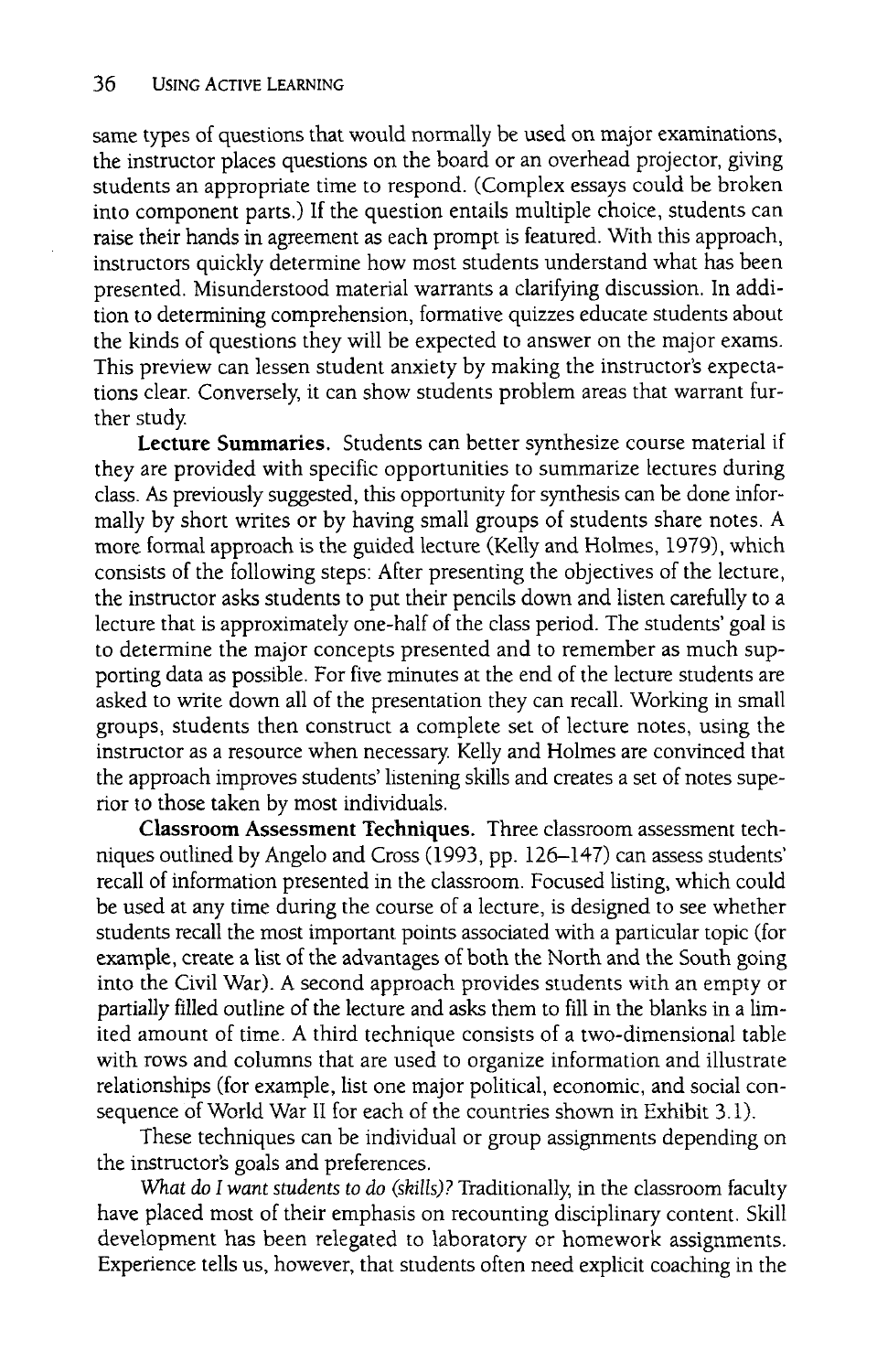same types of questions that would normally be used on major examinations, the instructor places questions on the board or an overhead projector, giving students an appropriate time to respond. (Complex essays could be broken into component parts.) If the question entails multiple choice, students can raise their hands in agreement as each prompt is featured. With this approach, instructors quickly determine how most students understand what has been presented. Misunderstood material warrants a clarifymg discussion. In addition to determining comprehension, formative quizzes educate students about the kinds of questions they will be expected to answer on the major exams. This preview can lessen student anxiety by making the instructor's expectations clear. Conversely, it can show students problem areas that warrant further study.

**Lecture Summaries.** Students can better synthesize course material if they are provided with specific opportunities to summarize lectures during class. *As* previously suggested, this opportunity for synthesis can be done informally by short writes or by having small groups of students share notes. **A**  more formal approach is the guided lecture (Kelly and Holmes, 1979), which consists of the following steps: After presenting the objectives of the lecture, the instructor asks students to put their pencils down and listen carefully to a lecture that is approximately one-half of the class period. The students' goal is to determine the major concepts presented and to remember as much supporting data as possible. For five minutes at the end of the lecture students are asked to write down all of the presentation they can recall. Working in small groups, students then construct a complete set of lecture notes, using the instructor as a resource when necessary. Kelly and Holmes are convinced that the approach improves students' listening skills and creates a set of notes superior to those taken by most individuals.

**Classroom Assessment Techniques.** Three classroom assessment techniques outlined by Angelo and Cross (1993, pp. 126-147) can assess students' recall of information presented in the classroom. Focused listing, which could be used at any time during the course of a lecture, is designed to see whether students recall the most important points associated with a particular topic (for example, create a list of the advantages of both the North and the South going into the Civil War). **A** second approach provides students with an empty or partially filled outline of the lecture and asks them to fill in the blanks in a limited amount of time. **A** third technique consists of a two-dimensional table with rows and columns that are used to organize information and illustrate relationships (for example, list one major political, economic, and social consequence of World War I1 for each of the countries shown in Exhibit 3.1).

These techniques can be individual or group assignments depending on the instructor's goals and preferences.

*What do* I *want students to do* (skills)? Traditionally, in the classroom faculty have placed most of their emphasis on recounting disciplinary content. Skill development has been relegated to laboratory or homework assignments. Experience tells us, however, that students often need explicit coaching in the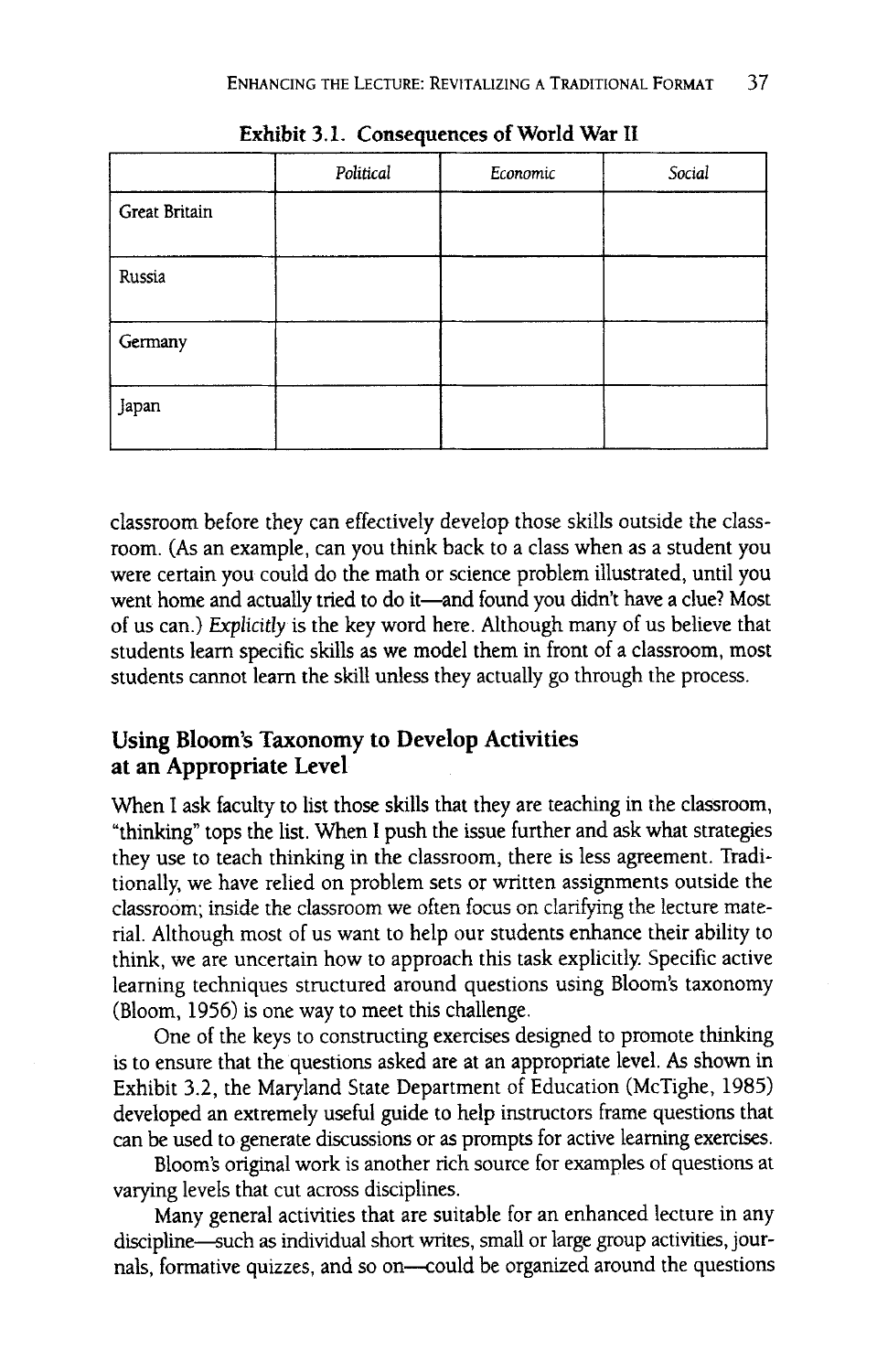|               | Political | Economic | Social |
|---------------|-----------|----------|--------|
| Great Britain |           |          |        |
| Russia        |           |          |        |
| Germany       |           |          |        |
| Japan         |           |          |        |

**Exhibit 3.1. Consequences of World War I1** 

classroom before they can effectively develop those skills outside the classroom. (As an example, can you think back to a class when as a student you were certain you could do the math or science problem illustrated, until you went home and actually tried to do it—and found you didn't have a clue? Most of us can.) **Explicitly** is the key word here. Although many of us believe that students learn specific skills as we model them in front of a classroom, most students cannot learn the skill unless they actually go through the process.

### **Using Bloom's Taxonomy to Develop Activities at an Appropriate Level**

When I ask faculty to list those skills that they are teaching in the classroom, "thinking" tops the list. When I push the issue further and ask what strategies they use to teach thinking in the classroom, there is less agreement. Traditionally, we have relied on problem sets or written assignments outside the classroom; inside the classroom we often focus on clarifying the lecture material. Although most of us want to help our students enhance their ability to think, we are uncertain how to approach this task explicitly. Specific active learning techniques structured around questions using Bloom's taxonomy (Bloom, 1956) is one way to meet this challenge.

One of the keys to constructing exercises designed to promote thinking is to ensure that the questions asked are at an appropriate level. *As* shown in Exhibit **3.2,** the Maryland State Department of Education (McTighe, 1985) developed an extremely useful guide to help instructors frame questions that can be used to generate discussions or as prompts for active learning exercises.

Bloom's original work is another rich source for examples of questions at varying levels that cut across disciplines.

Many general activities that are suitable for an enhanced lecture in any discipline-such as individual short writes, small or large group activities, journals, formative quizzes, and so on-could be organized around the questions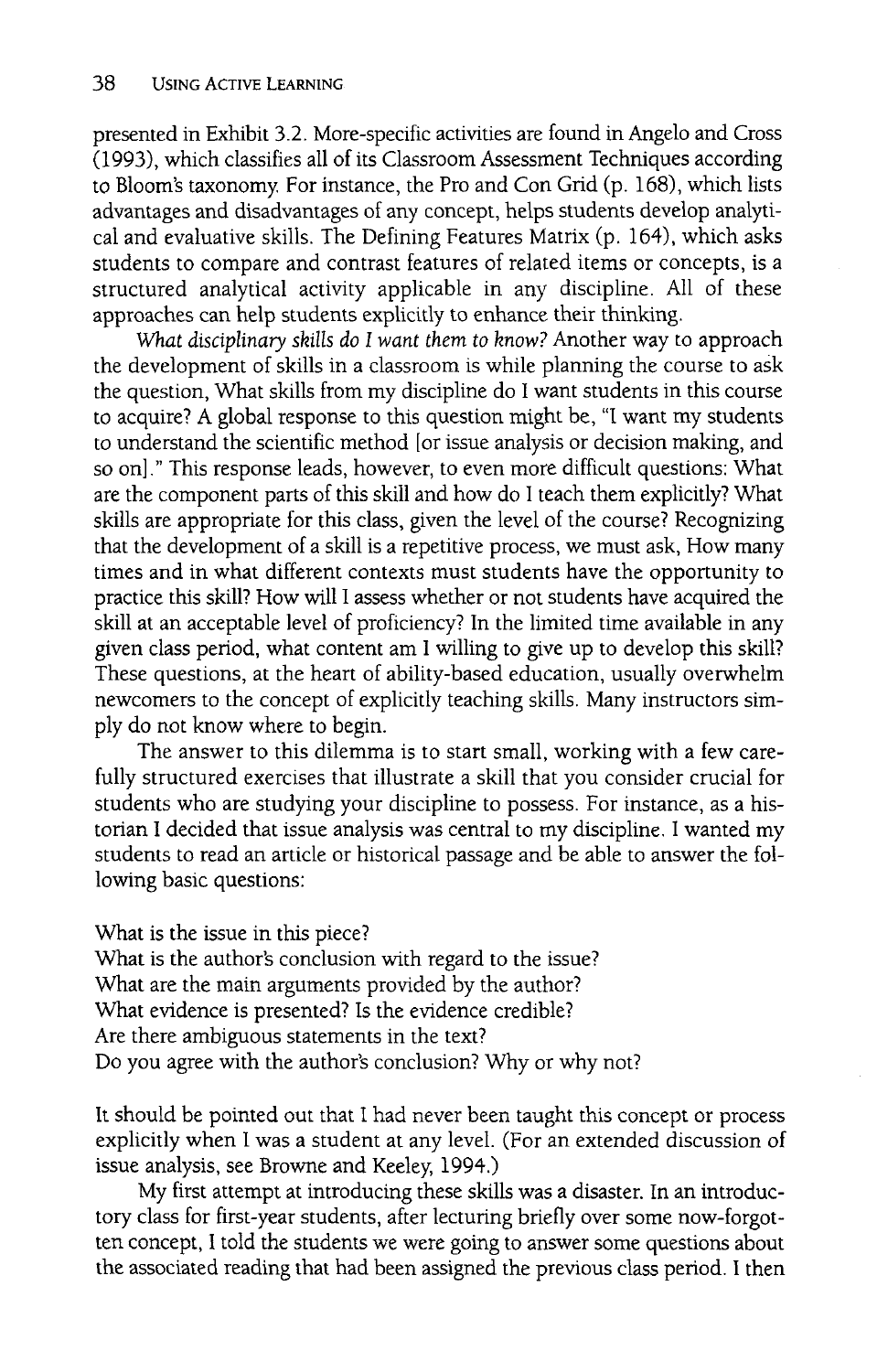presented in Exhibit 3.2. More-specific activities are found in Angelo and Cross (1 *993),* which classifies all of its Classroom Assessment Techniques according to Bloom's taxonomy. For instance, the Pro and Con Grid (p. 168), which lists advantages and disadvantages of any concept, helps students develop analytical and evaluative skills. The Defining Features Matrix (p. 164), which asks students to compare and contrast features of related items or concepts, is a structured analytical activity applicable in any discipline. All of these approaches can help students explicitly to enhance their thinking.

What disciplinary skills do I want *them* to know? Another way to approach the development of skills in a classroom is while planning the course to ask the question, What skills from my discipline do I want students in this course to acquire? **A** global response to this question might be, "I want my students to understand the scientific method [or issue analysis or decision making, and so on] ." This response leads, however, to even more difficult questions: What are the component parts of this skill and how do I teach them explicitly? What skills are appropriate for this class, given the level of the course? Recognizing that the development of a skill is a repetitive process, we must ask, How many times and in what different contexts must students have the opportunity to practice this skill? How will I assess whether or not students have acquired the skill at an acceptable level of proficiency? In the limited time available in any given class period, what content am **I** willing to give up to develop this skill? These questions, at the heart of ability-based education, usually overwhelm newcomers to the concept of explicitly teaching skills. Many instructors simply do not know where to begin.

The answer to this dilemma is to start small, working with a few carefully structured exercises that illustrate a skill that you consider crucial for students who are studymg your discipline to possess. For instance, as a historian I decided that issue analysis was central to my discipline. I wanted my students to read an article or historical passage and be able to answer the following basic questions:

What is the issue in this piece? What is the author's conclusion with regard to the issue? What are the main arguments provided by the author? What evidence is presented? Is the evidence credible? Are there ambiguous statements in the text? Do you agree with the author's conclusion? Why or why not?

It should be pointed out that I had never been taught this concept or process explicitly when I was a student at any level. (For an extended discussion of issue analysis, see Browne and Keeley, 1994.)

My first attempt at introducing these skills was a disaster. In an introductory class for first-year students, after lecturing briefly over some now-forgotten concept, I told the students we were going to answer some questions about the associated reading that had been assigned the previous class period. I then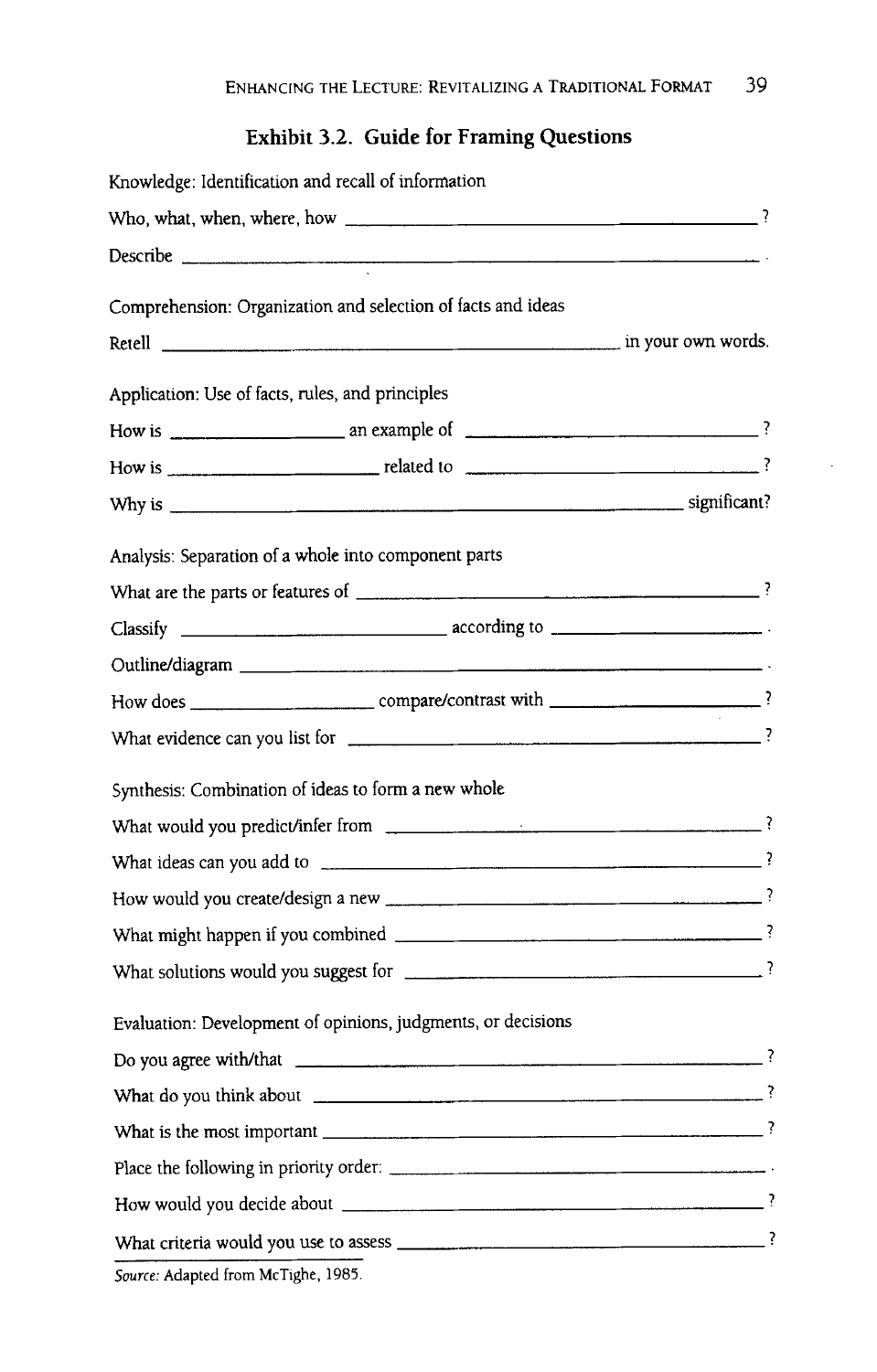# **Exhibit 3.2. Guide for Framing Questions**

| Knowledge: Identification and recall of information                                                                                                                                                                                                                                                                                |  |
|------------------------------------------------------------------------------------------------------------------------------------------------------------------------------------------------------------------------------------------------------------------------------------------------------------------------------------|--|
|                                                                                                                                                                                                                                                                                                                                    |  |
|                                                                                                                                                                                                                                                                                                                                    |  |
| Comprehension: Organization and selection of facts and ideas                                                                                                                                                                                                                                                                       |  |
|                                                                                                                                                                                                                                                                                                                                    |  |
|                                                                                                                                                                                                                                                                                                                                    |  |
| Application: Use of facts, rules, and principles                                                                                                                                                                                                                                                                                   |  |
|                                                                                                                                                                                                                                                                                                                                    |  |
|                                                                                                                                                                                                                                                                                                                                    |  |
|                                                                                                                                                                                                                                                                                                                                    |  |
| Analysis: Separation of a whole into component parts                                                                                                                                                                                                                                                                               |  |
|                                                                                                                                                                                                                                                                                                                                    |  |
|                                                                                                                                                                                                                                                                                                                                    |  |
|                                                                                                                                                                                                                                                                                                                                    |  |
|                                                                                                                                                                                                                                                                                                                                    |  |
|                                                                                                                                                                                                                                                                                                                                    |  |
| Synthesis: Combination of ideas to form a new whole                                                                                                                                                                                                                                                                                |  |
|                                                                                                                                                                                                                                                                                                                                    |  |
|                                                                                                                                                                                                                                                                                                                                    |  |
|                                                                                                                                                                                                                                                                                                                                    |  |
|                                                                                                                                                                                                                                                                                                                                    |  |
|                                                                                                                                                                                                                                                                                                                                    |  |
| Evaluation: Development of opinions, judgments, or decisions                                                                                                                                                                                                                                                                       |  |
|                                                                                                                                                                                                                                                                                                                                    |  |
|                                                                                                                                                                                                                                                                                                                                    |  |
|                                                                                                                                                                                                                                                                                                                                    |  |
|                                                                                                                                                                                                                                                                                                                                    |  |
|                                                                                                                                                                                                                                                                                                                                    |  |
|                                                                                                                                                                                                                                                                                                                                    |  |
| $\mathbf{A}$ $\mathbf{A}$ $\mathbf{A}$ $\mathbf{A}$ $\mathbf{A}$ $\mathbf{A}$ $\mathbf{A}$ $\mathbf{A}$ $\mathbf{A}$ $\mathbf{A}$ $\mathbf{A}$ $\mathbf{A}$ $\mathbf{A}$ $\mathbf{A}$ $\mathbf{A}$ $\mathbf{A}$ $\mathbf{A}$ $\mathbf{A}$ $\mathbf{A}$ $\mathbf{A}$ $\mathbf{A}$ $\mathbf{A}$ $\mathbf{A}$ $\mathbf{A}$ $\mathbf{$ |  |

**Source: Adapted** from McTighe. **1985.**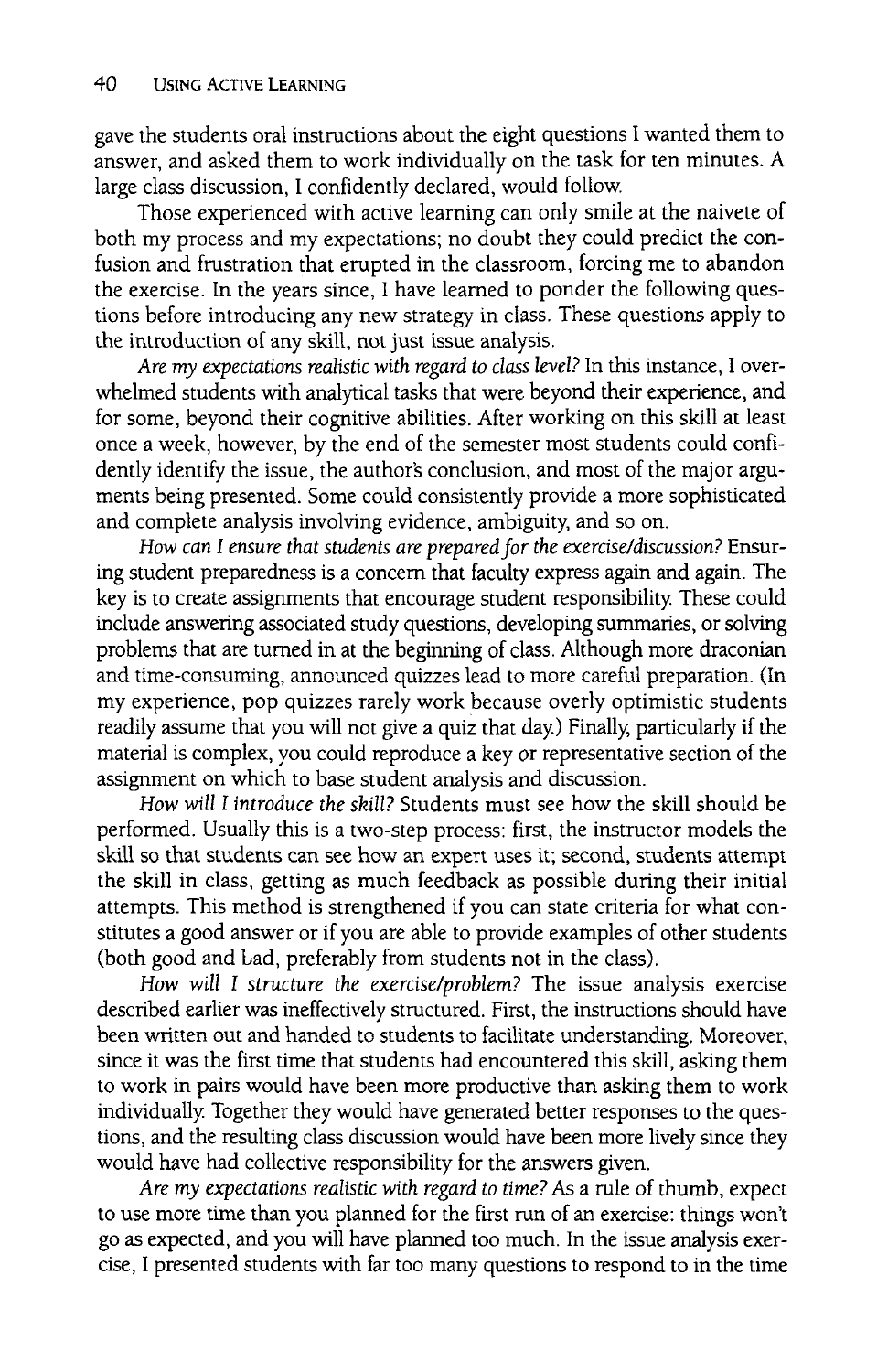gave the students oral instructions about the eight questions I wanted them to answer, and asked them to work individually on the task for ten minutes. A large class discussion, I confidently declared, would follow.

Those experienced with active learning can only smile at the naivete of both my process and my expectations; no doubt they could predict the confusion and frustration that erupted in the classroom, forcing me to abandon the exercise. In the years since, 1 have learned to ponder the following questions before introducing any new strategy in class. These questions apply to the introduction of any skill, not just issue analysis.

Are my expectations realistic with regard to class level? In this instance, I overwhelmed students with analytical tasks that were beyond their experience, and for some, beyond their cognitive abilities. After working on this skill at least once a week, however, by the end of the semester most students could confidently identify the issue, the author's conclusion, and most of the major arguments being presented. Some could consistently provide a more sophisticated and complete analysis involving evidence, ambiguity, and so on.

How can I ensure that students are prepared for the exercise/discussion? Ensuring student preparedness is a concern that faculty express again and again. The key is to create assignments that encourage student responsibility. These could include answering associated study questions, developing summaries, or solving problems that are turned in at the beginning of class. Although more draconian and time-consuming, announced quizzes lead to more careful preparation. (In my experience, pop quizzes rarely work because overly optimistic students readily assume that you will not give a quiz that day.) Finally, particularly if the material is complex, you could reproduce a key or representative section of the assignment on which to base student analysis and discussion.

How will I introduce the shill? Students must see how the skill should be performed. Usually this is a two-step process: first, the instructor models the skill so that students can see how an expert uses it; second, students attempt the skill in class, getting as much feedback as possible during their initial attempts. This method is strengthened if you can state criteria for what constitutes a good answer or if you are able to provide examples of other students (both good and bad, preferably from students not in the class).

How will I structure the exerciselproblem? The issue analysis exercise described earlier was ineffectively structured. First, the instructions should have been written out and handed to students to facilitate understanding. Moreover, since it was the first time that students had encountered this skill, asking them to work in pairs would have been more productive than asking them to work individually. Together they would have generated better responses to the questions, and the resulting class discussion would have been more lively since they would have had collective responsibility for the answers given.

Are my expectations realistic with regard to time? As a rule of thumb, expect to use more time than you planned for the first run of an exercise: things won't go as expected, and you will have planned too much. In the issue analysis exercise, I presented students with far too many questions to respond to in the time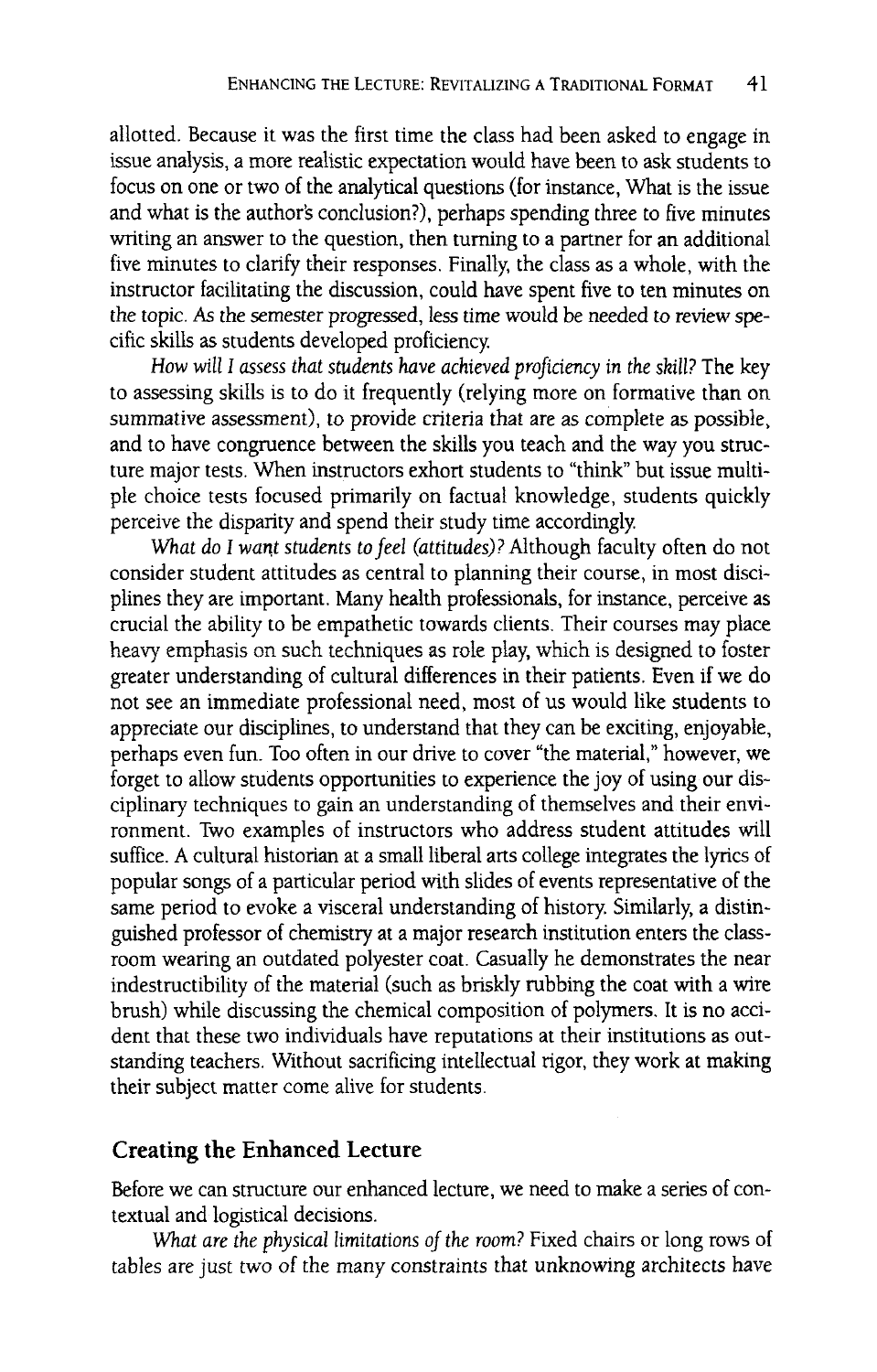allotted. Because it was the first time the class had been asked to engage in issue analysis, a more realistic expectation would have been to ask students to focus on one or two of the analytical questions (for instance, What is the issue and what is the author's conclusion?), perhaps spending three to five minutes writing an answer to the question, then turning to a partner for an additional five minutes to clarify their responses. Finally, the class as a whole, with the instructor facilitating the discussion, could have spent five to ten minutes on the topic. As the semester progressed, less time would be needed to review specific skills as students developed proficiency

How will I assess that students have achieved proficiency in the skill? The key to assessing skills is to do it frequently (relying more on formative than on summative assessment), to provide criteria that are as complete as possible, and to have congruence between the skills you teach and the way you structure major tests. When instructors exhort students to "think" but issue multiple choice tests focused primarily on factual knowledge, students quickly perceive the disparity and spend their study time accordingly

What do I want students to feel (attitudes)? Although faculty often do not consider student attitudes as central to planning their course, in most disciplines they are important. Many health professionals, for instance, perceive as crucial the ability to be empathetic towards clients. Their courses may place heavy emphasis on such techniques as role play, which is designed to foster greater understanding of cultural differences in their patients. Even if we do not see an immediate professional need, most of us would like students to appreciate our disciplines, to understand that they can be exciting, enjoyable, perhaps even fun. Too often in our drive to cover "the material," however, we forget to allow students opportunities to experience the joy of using our disciplinary techniques to gain an understanding of themselves and their environment. Two examples of instructors who address student attitudes will suffice. A cultural historian at a small liberal arts college integrates the lyrics of popular songs of a particular period with slides of events representative of the same period to evoke a visceral understanding of history. Similarly, a distinguished professor of chemistry at a major research institution enters the classroom wearing an outdated polyester coat. Casually he demonstrates the near indestructibility of the material (such as briskly rubbing the coat with a wire brush) while discussing the chemical composition of polymers. It is no accident that these two individuals have reputations at their institutions as outstanding teachers. Without sacrificing intellectual rigor, they work at making their subject matter come alive for students.

#### **Creating the Enhanced Lecture**

Before we can structure our enhanced lecture, we need to make a series of contextual and logistical decisions.

What are the physical limitations of the room? Fixed chairs or long rows of tables are just two of the many constraints that unknowing architects have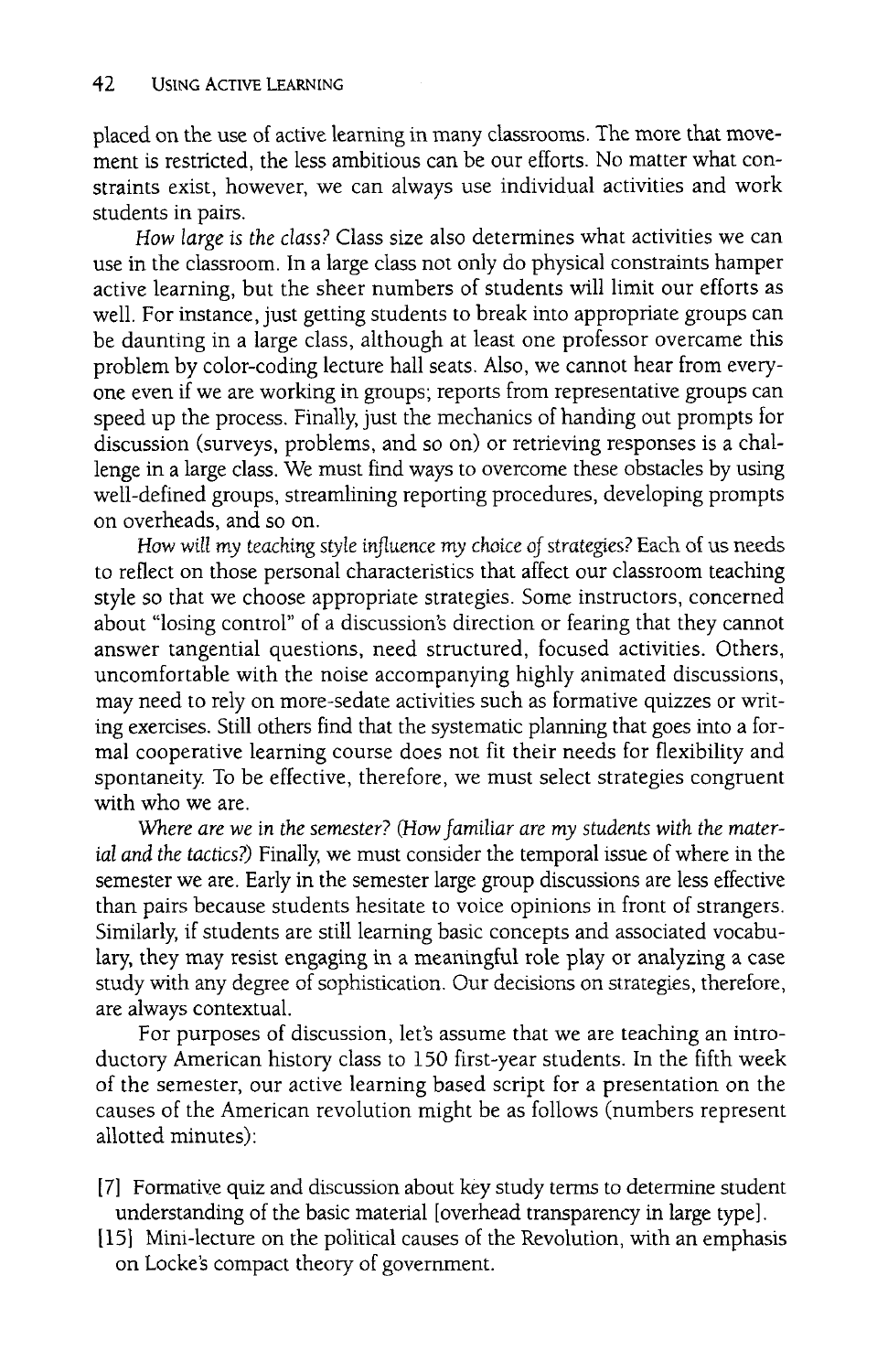placed on the use of active learning in many classrooms. The more that movement is restricted, the less ambitious can be our efforts. No matter what constraints exist, however, we can always use individual activities and work students in pairs.

How large is the class? Class size also determines what activities we can use in the classroom. In a large class not only do physical constraints hamper active learning, but the sheer numbers of students will limit our efforts as well. For instance, just getting students to break into appropriate groups can be daunting in a large class, although at least one professor overcame this problem by color-coding lecture hall seats. Also, we cannot hear from everyone even if we are working in groups; reports from representative groups can speed up the process. Finally, just the mechanics of handing out prompts for discussion (surveys, problems, and so on) or retrieving responses is a challenge in a large class. We must find ways to overcome these obstacles by using well-defined groups, streamlining reporting procedures, developing prompts on overheads, and so on.

How will **my** teaching style injuence my choice of strategies? Each of us needs to reflect on those personal characteristics that affect our classroom teaching style so that we choose appropriate strategies. Some instructors, concerned about "losing control" of a discussion's direction or fearing that they cannot answer tangential questions, need structured, focused activities. Others, uncomfortable with the noise accompanying highly animated discussions, may need to rely on more-sedate activities such as formative quizzes or writing exercises. Still others find that the systematic planning that goes into a formal cooperative learning course does not fit their needs for flexibility and spontaneity. To be effective, therefore, we must select strategies congruent with who we are.

Where are we in the semester? (How familiar are my students with the material and the tactics?) Finally, we must consider the temporal issue of where in the semester we are. Early in the semester large group discussions are less effective than pairs because students hesitate to voice opinions in front of strangers. Similarly, if students are still learning basic concepts and associated vocabulary, they may resist engaging in a meaningful role play or analyzing a case study with any degree of sophistication. Our decisions on strategies, therefore, are always contextual.

For purposes of discussion, let's assume that we are teaching an introductory American history class to 150 first-year students. In the fifth week of the semester, our active learning based script for a presentation on the causes of the American revolution might be as follows (numbers represent allotted minutes):

- [7] Formative quiz and discussion about key study terms to determine student understanding of the basic material [overhead transparency in large type].
- [15] Mini-lecture on the political causes of the Revolution, with an emphasis on Locke's compact theory of government.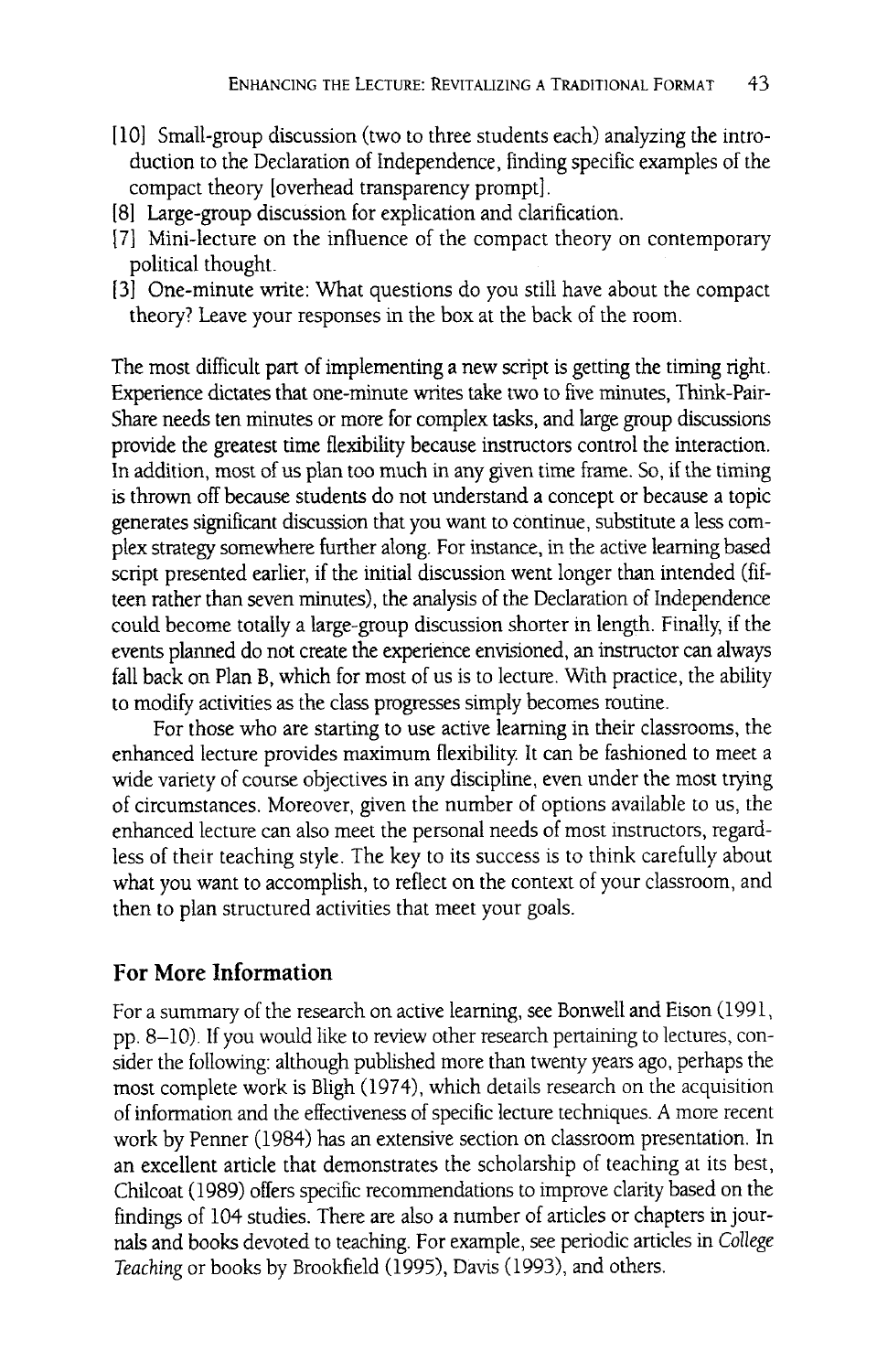- [10] Small-group discussion (two to three students each) analyzing the introduction to the Declaration of Independence, finding specific examples of the compact theory [overhead transparency prompt].
- [8] Large-group discussion for explication and clarification.
- [71 Mini-lecture on the influence of the compact theory on contemporary political thought.
- **[3]** One-minute write: What questions do you still have about the compact theory? Leave your responses in the box at the back of the room.

The most difficult part of implementing a new script is getting the timing right. Experience dictates that one-minute writes take two to five minutes, Think-Pair-Share needs ten minutes or more for complex tasks, and large group discussions provide the greatest time flexibility because instructors control the interaction. In addition, most of us plan too much in any given time frame. So, if the timing is thrown off because students do not understand a concept or because a topic generates significant discussion that you want to continue, substitute a less complex strategy somewhere further along. For instance, in the active learning based script presented earlier, if the initial discussion went longer than intended (fifteen rather than seven minutes), the analysis of the Declaration of Independence could become totally a large-group discussion shorter in length. Finally, if the events planned do not create the experience envisioned, an instructor can always fall back on Plan B, which for most of us is to lecture. With practice, the ability to modify activities as the class progresses simply becomes routine.

For those who are starting to use active learning in their classrooms, the enhanced lecture provides maximum flexibility It can be fashioned to meet a wide variety of course objectives in any discipline, even under the most trying of circumstances. Moreover, given the number of options available to us, the enhanced lecture can also meet the personal needs of most instructors, regardless of their teaching style. The key to its success is to think carefully about what you want to accomplish, to reflect on the context of your classroom, and then to plan structured activities that meet your goals.

## **For More Information**

For a summary of the research on active learning, see Bonwell and Eison (1991, pp. 8-10). If you would like to review other research pertaining to lectures, consider the following: although published more than twenty years ago, perhaps the most complete work is Bligh (1974), which details research on the acquisition of information and the effectiveness of specific lecture techniques. **A** more recent work by Penner (1984) has an extensive section on classroom presentation. In an excellent article that demonstrates the scholarship of teaching at its best, Chilcoat (1989) offers specific recommendations to improve clarity based on the findings of 104 studies. There are also a number of articles or chapters in journals and books devoted to teaching. For example, see periodic articles in *College*  Teaching or books by Brookfield (1995), Davis (1993), and others.